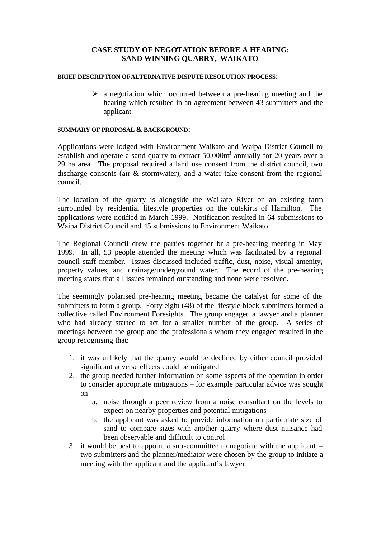# **CASE STUDY OF NEGOTATION BEFORE A HEARING: SAND WINNING QUARRY, WAIKATO**

#### **BRIEF DESCRIPTION OF ALTERNATIVE DISPUTE RESOLUTION PROCESS:**

 $\triangleright$  a negotiation which occurred between a pre-hearing meeting and the hearing which resulted in an agreement between 43 submitters and the applicant

## **SUMMARY OF PROPOSAL & BACKGROUND:**

Applications were lodged with Environment Waikato and Waipa District Council to establish and operate a sand quarry to extract  $50,000m^3$  annually for 20 years over a 29 ha area. The proposal required a land use consent from the district council, two discharge consents (air & stormwater), and a water take consent from the regional council.

The location of the quarry is alongside the Waikato River on an existing farm surrounded by residential lifestyle properties on the outskirts of Hamilton. The applications were notified in March 1999. Notification resulted in 64 submissions to Waipa District Council and 45 submissions to Environment Waikato.

The Regional Council drew the parties together for a pre-hearing meeting in May 1999. In all, 53 people attended the meeting which was facilitated by a regional council staff member. Issues discussed included traffic, dust, noise, visual amenity, property values, and drainage/underground water. The record of the pre-hearing meeting states that all issues remained outstanding and none were resolved.

The seemingly polarised pre-hearing meeting became the catalyst for some of the submitters to form a group. Forty-eight (48) of the lifestyle block submitters formed a collective called Environment Foresights. The group engaged a lawyer and a planner who had already started to act for a smaller number of the group. A series of meetings between the group and the professionals whom they engaged resulted in the group recognising that:

- 1. it was unlikely that the quarry would be declined by either council provided significant adverse effects could be mitigated
- 2. the group needed further information on some aspects of the operation in order to consider appropriate mitigations – for example particular advice was sought on
	- a. noise through a peer review from a noise consultant on the levels to expect on nearby properties and potential mitigations
	- b. the applicant was asked to provide information on particulate size of sand to compare sizes with another quarry where dust nuisance had been observable and difficult to control
- 3. it would be best to appoint a sub-committee to negotiate with the applicant two submitters and the planner/mediator were chosen by the group to initiate a meeting with the applicant and the applicant's lawyer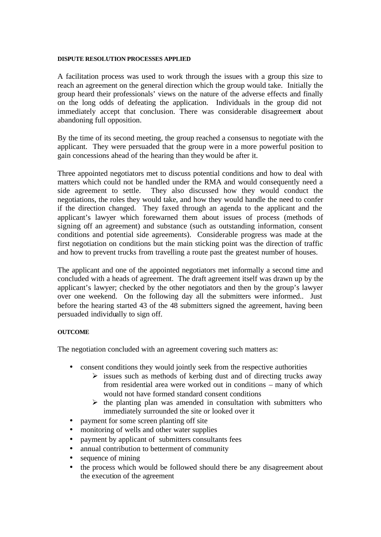#### **DISPUTE RESOLUTION PROCESSES APPLIED**

A facilitation process was used to work through the issues with a group this size to reach an agreement on the general direction which the group would take. Initially the group heard their professionals' views on the nature of the adverse effects and finally on the long odds of defeating the application. Individuals in the group did not immediately accept that conclusion. There was considerable disagreement about abandoning full opposition.

By the time of its second meeting, the group reached a consensus to negotiate with the applicant. They were persuaded that the group were in a more powerful position to gain concessions ahead of the hearing than they would be after it.

Three appointed negotiators met to discuss potential conditions and how to deal with matters which could not be handled under the RMA and would consequently need a side agreement to settle. They also discussed how they would conduct the negotiations, the roles they would take, and how they would handle the need to confer if the direction changed. They faxed through an agenda to the applicant and the applicant's lawyer which forewarned them about issues of process (methods of signing off an agreement) and substance (such as outstanding information, consent conditions and potential side agreements). Considerable progress was made at the first negotiation on conditions but the main sticking point was the direction of traffic and how to prevent trucks from travelling a route past the greatest number of houses.

The applicant and one of the appointed negotiators met informally a second time and concluded with a heads of agreement. The draft agreement itself was drawn up by the applicant's lawyer; checked by the other negotiators and then by the group's lawyer over one weekend. On the following day all the submitters were informed.. Just before the hearing started 43 of the 48 submitters signed the agreement, having been persuaded individually to sign off.

#### **OUTCOME**

The negotiation concluded with an agreement covering such matters as:

- consent conditions they would jointly seek from the respective authorities
	- $\triangleright$  issues such as methods of kerbing dust and of directing trucks away from residential area were worked out in conditions – many of which would not have formed standard consent conditions
	- $\triangleright$  the planting plan was amended in consultation with submitters who immediately surrounded the site or looked over it
- payment for some screen planting off site
- monitoring of wells and other water supplies
- payment by applicant of submitters consultants fees
- annual contribution to betterment of community
- sequence of mining
- the process which would be followed should there be any disagreement about the execution of the agreement